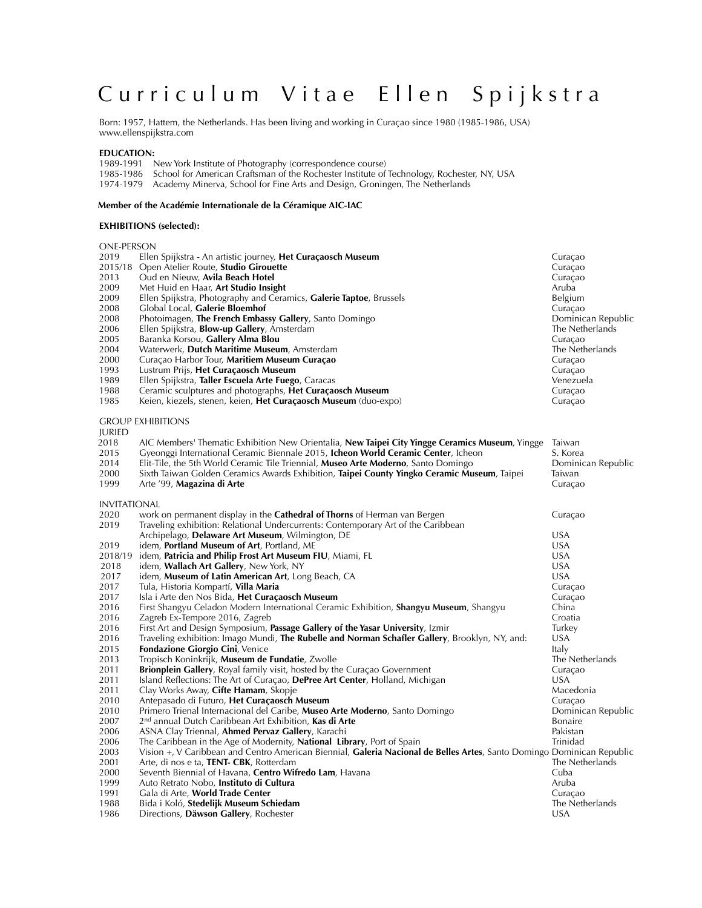# Curriculum Vitae Ellen Spijkstra

Born: 1957, Hattem, the Netherlands. Has been living and working in Curaçao since 1980 (1985-1986, USA) www.ellenspijkstra.com

#### **EDUCATION:**

1989-1991 New York Institute of Photography (correspondence course) 1985-1986 School for American Craftsman of the Rochester Institute of Technology, Rochester, NY, USA

1974-1979 Academy Minerva, School for Fine Arts and Design, Groningen, The Netherlands

#### **Member of the Académie Internationale de la Céramique AIC-IAC**

#### **EXHIBITIONS (selected):**

| <b>ONE-PERSON</b>   |                                                                                                                        |                    |
|---------------------|------------------------------------------------------------------------------------------------------------------------|--------------------|
| 2019                | Ellen Spijkstra - An artistic journey, <b>Het Curaçaosch Museum</b>                                                    | Curaçao            |
| 2015/18             | Open Atelier Route, Studio Girouette                                                                                   | Curaçao            |
| 2013                | Oud en Nieuw, Avila Beach Hotel                                                                                        | Curaçao            |
| 2009                | Met Huid en Haar, Art Studio Insight                                                                                   | Aruba              |
| 2009                | Ellen Spijkstra, Photography and Ceramics, Galerie Taptoe, Brussels                                                    | Belgium            |
| 2008                | Global Local, Galerie Bloemhof                                                                                         | Curaçao            |
| 2008                | Photoimagen, The French Embassy Gallery, Santo Domingo                                                                 | Dominican Republic |
| 2006                | Ellen Spijkstra, <b>Blow-up Gallery</b> , Amsterdam                                                                    | The Netherlands    |
| 2005                | Baranka Korsou, <b>Gallery Alma Blou</b>                                                                               | Curaçao            |
| 2004                | Waterwerk, <b>Dutch Maritime Museum</b> , Amsterdam                                                                    | The Netherlands    |
| 2000                | Curaçao Harbor Tour, Maritiem Museum Curaçao                                                                           | Curaçao            |
| 1993                | Lustrum Prijs, Het Curaçaosch Museum                                                                                   | Curaçao            |
| 1989                | Ellen Spijkstra, Taller Escuela Arte Fuego, Caracas                                                                    | Venezuela          |
| 1988                | Ceramic sculptures and photographs, Het Curaçaosch Museum                                                              | Curaçao            |
| 1985                | Keien, kiezels, stenen, keien, Het Curaçaosch Museum (duo-expo)                                                        | Curaçao            |
|                     |                                                                                                                        |                    |
|                     | <b>GROUP EXHIBITIONS</b>                                                                                               |                    |
| <b>IURIED</b>       |                                                                                                                        |                    |
| 2018                | AIC Members' Thematic Exhibition New Orientalia, New Taipei City Yingge Ceramics Museum, Yingge                        | Taiwan             |
| 2015                | Gyeonggi International Ceramic Biennale 2015, Icheon World Ceramic Center, Icheon                                      | S. Korea           |
| 2014                | Elit-Tile, the 5th World Ceramic Tile Triennial, <b>Museo Arte Moderno</b> , Santo Domingo                             | Dominican Republic |
| 2000                | Sixth Taiwan Golden Ceramics Awards Exhibition, Taipei County Yingko Ceramic Museum, Taipei                            | Taiwan             |
| 1999                | Arte '99, <b>Magazina di Arte</b>                                                                                      | Curaçao            |
|                     |                                                                                                                        |                    |
| <b>INVITATIONAL</b> |                                                                                                                        |                    |
| 2020                | work on permanent display in the <b>Cathedral of Thorns</b> of Herman van Bergen                                       | Curaçao            |
| 2019                | Traveling exhibition: Relational Undercurrents: Contemporary Art of the Caribbean                                      |                    |
|                     | Archipelago, Delaware Art Museum, Wilmington, DE                                                                       | <b>USA</b>         |
| 2019                | idem, Portland Museum of Art, Portland, ME                                                                             | <b>USA</b>         |
| 2018/19             | idem, Patricia and Philip Frost Art Museum FIU, Miami, FL                                                              | <b>USA</b>         |
| 2018                | idem, <b>Wallach Art Gallery</b> , New York, NY                                                                        | <b>USA</b>         |
| 2017                | idem, Museum of Latin American Art, Long Beach, CA                                                                     | <b>USA</b>         |
| 2017                | Tula, Historia Kompartí, <b>Villa Maria</b>                                                                            | Curaçao            |
| 2017                | Isla i Arte den Nos Bida, Het Curaçaosch Museum                                                                        | Curaçao            |
| 2016                | First Shangyu Celadon Modern International Ceramic Exhibition, <b>Shangyu Museum</b> , Shangyu                         | China              |
| 2016                | Zagreb Ex-Tempore 2016, Zagreb                                                                                         | Croatia            |
| 2016                | First Art and Design Symposium, Passage Gallery of the Yasar University, Izmir                                         | Turkey             |
| 2016                | Traveling exhibition: Imago Mundi, The Rubelle and Norman Schafler Gallery, Brooklyn, NY, and:                         | <b>USA</b>         |
| 2015                | <b>Fondazione Giorgio Cini, Venice</b>                                                                                 | Italy              |
| 2013                | Tropisch Koninkrijk, Museum de Fundatie, Zwolle                                                                        | The Netherlands    |
| 2011                | <b>Brionplein Gallery</b> , Royal family visit, hosted by the Curaçao Government                                       | Curacao            |
| 2011                | Island Reflections: The Art of Curaçao, DePree Art Center, Holland, Michigan                                           | <b>USA</b>         |
| 2011                | Clay Works Away, Cifte Hamam, Skopje                                                                                   | Macedonia          |
| 2010                | Antepasado di Futuro, <b>Het Curaçaosch Museum</b>                                                                     | Curaçao            |
| 2010                | Primero Trienal Internacional del Caribe, <b>Museo Arte Moderno</b> , Santo Domingo                                    | Dominican Republic |
| 2007                | 2 <sup>nd</sup> annual Dutch Caribbean Art Exhibition, <b>Kas di Arte</b>                                              | <b>Bonaire</b>     |
| 2006                | ASNA Clay Triennal, Ahmed Pervaz Gallery, Karachi                                                                      | Pakistan           |
| 2006                | The Caribbean in the Age of Modernity, <b>National Library</b> , Port of Spain                                         | Trinidad           |
| 2003                | Vision +, V Caribbean and Centro American Biennial, Galeria Nacional de Belles Artes, Santo Domingo Dominican Republic |                    |
| 2001                | Arte, di nos e ta, <b>TENT- CBK</b> , Rotterdam                                                                        | The Netherlands    |
| 2000                | Seventh Biennial of Havana, <b>Centro Wifredo Lam</b> , Havana                                                         | Cuba               |
| 1999                | Auto Retrato Nobo, Instituto di Cultura                                                                                | Aruba              |
| 1991                | Gala di Arte, World Trade Center                                                                                       | Curaçao            |
| 1988                | Bida i Koló, <b>Stedelijk Museum Schiedam</b>                                                                          | The Netherlands    |
| 1986                | Directions, Däwson Gallery, Rochester                                                                                  | <b>USA</b>         |
|                     |                                                                                                                        |                    |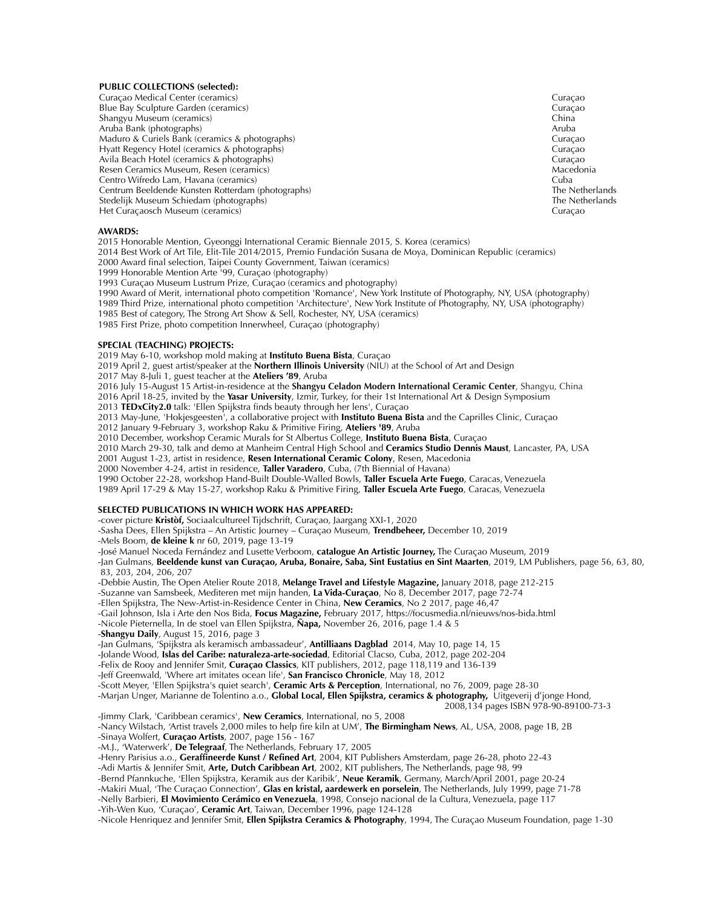#### **PUBLIC COLLECTIONS (selected):**

Curaçao Medical Center (ceramics) Curaçao Blue Bay Sculpture Garden (ceramics) Curação Christene e autoridade de la contração contração contração contração contração contração contração contração contração contração contração contração contração contra e a contraç Shangyu Museum (ceramics) Aruba Bank (photographs)<br>Maduro & Curiels Bank (ceramics & photographs) and a state of the state of the control of the coracao Maduro & Curiels Bank (ceramics & photographs)<br>
Hyatt Regency Hotel (ceramics & photographs)<br>
Curaçao Hyatt Regency Hotel (ceramics & photographs) Avila Beach Hotel (ceramics & photographs)<br>
Resen Ceramics Museum, Resen (ceramics)<br>
Macedonia Resen Ceramics Museum, Resen (ceramics)<br>Centro Wifredo Lam, Havana (ceramics) Macedonia (Service School) Macedonia (Suba Centro Wifredo Lam, Havana (ceramics)<br>
Centrum Beeldende Kunsten Rotterdam (photographs)<br>
Centrum Beeldende Kunsten Rotterdam (photographs) Centrum Beeldende Kunsten Rotterdam (photographs)<br>Stedeliik Museum Schiedam (photographs) The Netherlands Stedeliik Museum Schiedends Stedelijk Museum Schiedam (photographs) Het Curaçaosch Museum (ceramics) Curaçao

#### **AWARDS:**

2015 Honorable Mention, Gyeonggi International Ceramic Biennale 2015, S. Korea (ceramics)

2014 Best Work of Art Tile, Elit-Tile 2014/2015, Premio Fundación Susana de Moya, Dominican Republic (ceramics)

2000 Award final selection, Taipei County Government, Taiwan (ceramics)

1999 Honorable Mention Arte '99, Curaçao (photography)

1993 Curaçao Museum Lustrum Prize, Curaçao (ceramics and photography)

1990 Award of Merit, international photo competition 'Romance', New York Institute of Photography, NY, USA (photography)

1989 Third Prize, international photo competition 'Architecture', New York Institute of Photography, NY, USA (photography)

1985 Best of category, The Strong Art Show & Sell, Rochester, NY, USA (ceramics)

1985 First Prize, photo competition Innerwheel, Curaçao (photography)

#### **SPECIAL (TEACHING) PROJECTS:**

2019 May 6-10, workshop mold making at **Instituto Buena Bista**, Curaçao

2019 April 2, guest artist/speaker at the **Northern Illinois University** (NIU) at the School of Art and Design

2017 May 8-Juli 1, guest teacher at the **Ateliers '89**, Aruba

2016 July 15-August 15 Artist-in-residence at the **Shangyu Celadon Modern International Ceramic Center**, Shangyu, China

2016 April 18-25, invited by the **Yasar University**, Izmir, Turkey, for their 1st International Art & Design Symposium

2013 **TEDxCity2.0** talk: 'Ellen Spijkstra finds beauty through her lens', Curaçao

2013 May-June, 'Hokjesgeesten', a collaborative project with **Instituto Buena Bista** and the Caprilles Clinic, Curaçao

2012 January 9-February 3, workshop Raku & Primitive Firing, **Ateliers '89**, Aruba

2010 December, workshop Ceramic Murals for St Albertus College, **Instituto Buena Bista**, Curaçao

2010 March 29-30, talk and demo at Manheim Central High School and **Ceramics Studio Dennis Maust**, Lancaster, PA, USA

2001 August 1-23, artist in residence, **Resen International Ceramic Colony**, Resen, Macedonia

2000 November 4-24, artist in residence, **Taller Varadero**, Cuba, (7th Biennial of Havana)

1990 October 22-28, workshop Hand-Built Double-Walled Bowls, **Taller Escuela Arte Fuego**, Caracas, Venezuela

1989 April 17-29 & May 15-27, workshop Raku & Primitive Firing, **Taller Escuela Arte Fuego**, Caracas, Venezuela

### **SELECTED PUBLICATIONS IN WHICH WORK HAS APPEARED:**

-cover picture **Kristòf,** Sociaalcultureel Tijdschrift, Curaçao, Jaargang XXI-1, 2020

-Sasha Dees, Ellen Spijkstra – An Artistic Journey – Curaçao Museum, **Trendbeheer,** December 10, 2019 -Mels Boom, **de kleine k** nr 60, 2019, page 13-19

-José Manuel Noceda Fernández and Lusette Verboom, **catalogue An Artistic Journey,** The Curaçao Museum, 2019

-Jan Gulmans, **Beeldende kunst van Curaçao, Aruba, Bonaire, Saba, Sint Eustatius en Sint Maarten**, 2019, LM Publishers, page 56, 63, 80, 83, 203, 204, 206, 207

-Debbie Austin, The Open Atelier Route 2018, **Melange Travel and Lifestyle Magazine,** January 2018, page 212-215

-Suzanne van Samsbeek, Mediteren met mijn handen, **La Vida-Curaçao**, No 8, December 2017, page 72-74

-Ellen Spijkstra, The New-Artist-in-Residence Center in China, **New Ceramics**, No 2 2017, page 46,47

-Gail Johnson, Isla i Arte den Nos Bida, **Focus Magazine,** February 2017, https://focusmedia.nl/nieuws/nos-bida.html -Nicole Pieternella, In de stoel van Ellen Spijkstra, **Ñapa,** November 26, 2016, page 1.4 & 5

-**Shangyu Daily**, August 15, 2016, page 3

-Jan Gulmans, 'Spijkstra als keramisch ambassadeur', **Antilliaans Dagblad** 2014, May 10, page 14, 15

-Jolande Wood, **Islas del Caribe: naturaleza-arte-sociedad**, Editorial Clacso, Cuba, 2012, page 202-204

-Felix de Rooy and Jennifer Smit, **Curaçao Classics**, KIT publishers, 2012, page 118,119 and 136-139

-Jeff Greenwald, 'Where art imitates ocean life', **San Francisco Chronicle**, May 18, 2012

-Scott Meyer, 'Ellen Spijkstra's quiet search', **Ceramic Arts & Perception**, International, no 76, 2009, page 28-30

-Marjan Unger, Marianne de Tolentino a.o., **Global Local, Ellen Spijkstra, ceramics & photography,** Uitgeverij d'jonge Hond,

2008,134 pages ISBN 978-90-89100-73-3

-Jimmy Clark, 'Caribbean ceramics', **New Ceramics**, International, no 5, 2008

-Nancy Wilstach, 'Artist travels 2,000 miles to help fire kiln at UM', **The Birmingham News**, AL, USA, 2008, page 1B, 2B -Sinaya Wolfert, **Curaçao Artists**, 2007, page 156 - 167

-M.J., 'Waterwerk', **De Telegraaf**, The Netherlands, February 17, 2005

-Henry Parisius a.o., **Geraffineerde Kunst / Refined Art**, 2004, KIT Publishers Amsterdam, page 26-28, photo 22-43

-Adi Martis & Jennifer Smit, **Arte, Dutch Caribbean Art**, 2002, KIT publishers, The Netherlands, page 98, 99

-Bernd Pfannkuche, 'Ellen Spijkstra, Keramik aus der Karibik', **Neue Keramik**, Germany, March/April 2001, page 20-24

-Makiri Mual, 'The Curaçao Connection', **Glas en kristal, aardewerk en porselein**, The Netherlands, July 1999, page 71-78

-Nelly Barbieri, **El Movimiento Cerámico en Venezuela**, 1998, Consejo nacional de la Cultura, Venezuela, page 117 -Yih-Wen Kuo, 'Curaçao', **Ceramic Art**, Taiwan, December 1996, page 124-128

-Nicole Henriquez and Jennifer Smit, **Ellen Spijkstra Ceramics & Photography**, 1994, The Curaçao Museum Foundation, page 1-30